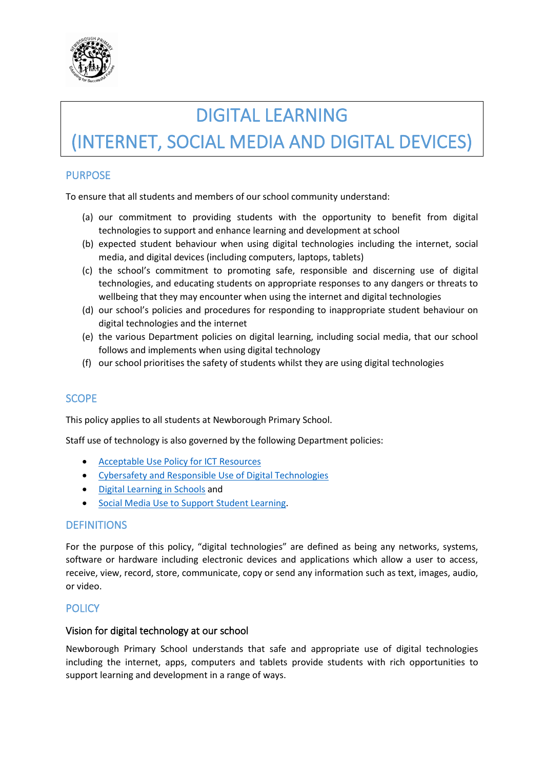

# DIGITAL LEARNING

# (INTERNET, SOCIAL MEDIA AND DIGITAL DEVICES)

### PURPOSE

To ensure that all students and members of our school community understand:

- (a) our commitment to providing students with the opportunity to benefit from digital technologies to support and enhance learning and development at school
- (b) expected student behaviour when using digital technologies including the internet, social media, and digital devices (including computers, laptops, tablets)
- (c) the school's commitment to promoting safe, responsible and discerning use of digital technologies, and educating students on appropriate responses to any dangers or threats to wellbeing that they may encounter when using the internet and digital technologies
- (d) our school's policies and procedures for responding to inappropriate student behaviour on digital technologies and the internet
- (e) the various Department policies on digital learning, including social media, that our school follows and implements when using digital technology
- (f) our school prioritises the safety of students whilst they are using digital technologies

### SCOPE

This policy applies to all students at Newborough Primary School.

Staff use of technology is also governed by the following Department policies:

- [Acceptable Use Policy for ICT Resources](https://www2.education.vic.gov.au/pal/ict-acceptable-use/overview)
- [Cybersafety and Responsible Use of Digital Technologies](https://www2.education.vic.gov.au/pal/cybersafety/policy)
- [Digital Learning in Schools](https://www2.education.vic.gov.au/pal/digital-learning/policy) and
- [Social Media Use to Support Student Learning.](https://www2.education.vic.gov.au/pal/social-media/policy)

#### DEFINITIONS

For the purpose of this policy, "digital technologies" are defined as being any networks, systems, software or hardware including electronic devices and applications which allow a user to access, receive, view, record, store, communicate, copy or send any information such as text, images, audio, or video.

#### **POLICY**

#### Vision for digital technology at our school

Newborough Primary School understands that safe and appropriate use of digital technologies including the internet, apps, computers and tablets provide students with rich opportunities to support learning and development in a range of ways.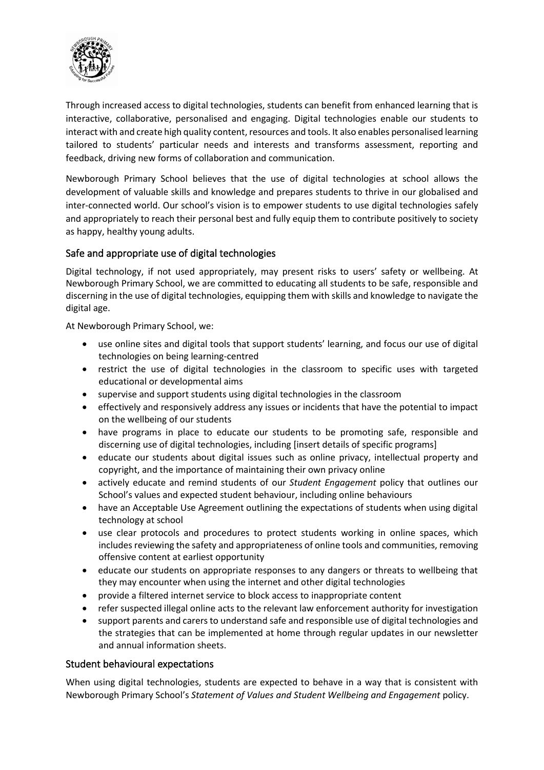

Through increased access to digital technologies, students can benefit from enhanced learning that is interactive, collaborative, personalised and engaging. Digital technologies enable our students to interact with and create high quality content, resources and tools. It also enables personalised learning tailored to students' particular needs and interests and transforms assessment, reporting and feedback, driving new forms of collaboration and communication.

Newborough Primary School believes that the use of digital technologies at school allows the development of valuable skills and knowledge and prepares students to thrive in our globalised and inter-connected world. Our school's vision is to empower students to use digital technologies safely and appropriately to reach their personal best and fully equip them to contribute positively to society as happy, healthy young adults.

#### Safe and appropriate use of digital technologies

Digital technology, if not used appropriately, may present risks to users' safety or wellbeing. At Newborough Primary School, we are committed to educating all students to be safe, responsible and discerning in the use of digital technologies, equipping them with skills and knowledge to navigate the digital age.

At Newborough Primary School, we:

- use online sites and digital tools that support students' learning, and focus our use of digital technologies on being learning-centred
- restrict the use of digital technologies in the classroom to specific uses with targeted educational or developmental aims
- supervise and support students using digital technologies in the classroom
- effectively and responsively address any issues or incidents that have the potential to impact on the wellbeing of our students
- have programs in place to educate our students to be promoting safe, responsible and discerning use of digital technologies, including [insert details of specific programs]
- educate our students about digital issues such as online privacy, intellectual property and copyright, and the importance of maintaining their own privacy online
- actively educate and remind students of our *Student Engagement* policy that outlines our School's values and expected student behaviour, including online behaviours
- have an Acceptable Use Agreement outlining the expectations of students when using digital technology at school
- use clear protocols and procedures to protect students working in online spaces, which includes reviewing the safety and appropriateness of online tools and communities, removing offensive content at earliest opportunity
- educate our students on appropriate responses to any dangers or threats to wellbeing that they may encounter when using the internet and other digital technologies
- provide a filtered internet service to block access to inappropriate content
- refer suspected illegal online acts to the relevant law enforcement authority for investigation
- support parents and carers to understand safe and responsible use of digital technologies and the strategies that can be implemented at home through regular updates in our newsletter and annual information sheets.

#### Student behavioural expectations

When using digital technologies, students are expected to behave in a way that is consistent with Newborough Primary School's *Statement of Values and Student Wellbeing and Engagement* policy.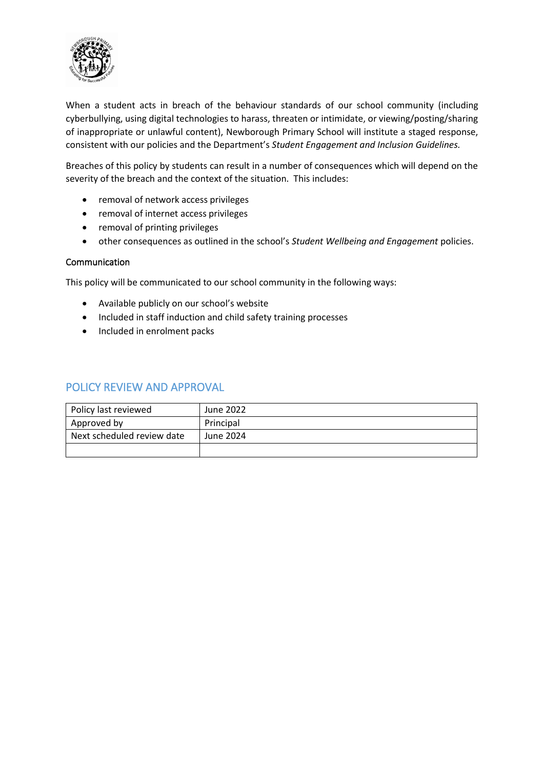

When a student acts in breach of the behaviour standards of our school community (including cyberbullying, using digital technologies to harass, threaten or intimidate, or viewing/posting/sharing of inappropriate or unlawful content), Newborough Primary School will institute a staged response, consistent with our policies and the Department's *Student Engagement and Inclusion Guidelines.*

Breaches of this policy by students can result in a number of consequences which will depend on the severity of the breach and the context of the situation. This includes:

- removal of network access privileges
- removal of internet access privileges
- removal of printing privileges
- other consequences as outlined in the school's *Student Wellbeing and Engagement* policies.

#### Communication

This policy will be communicated to our school community in the following ways:

- Available publicly on our school's website
- Included in staff induction and child safety training processes
- Included in enrolment packs

| Policy last reviewed       | June 2022 |
|----------------------------|-----------|
| Approved by                | Principal |
| Next scheduled review date | June 2024 |
|                            |           |

#### POLICY REVIEW AND APPROVAL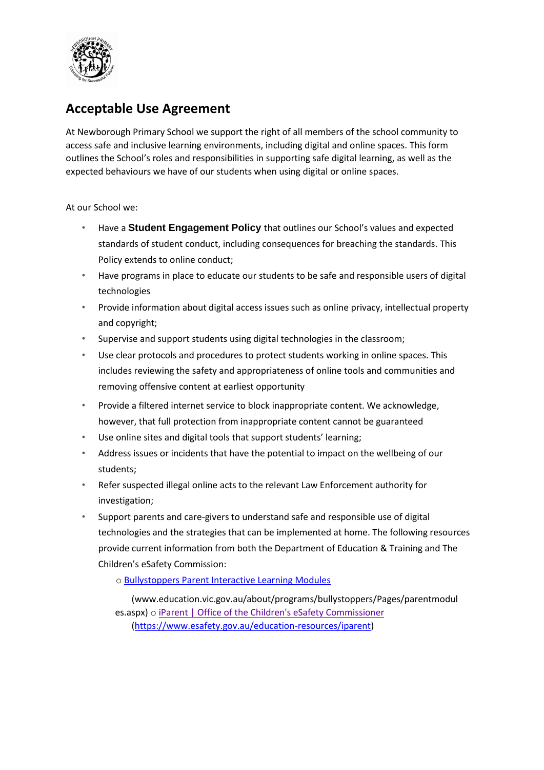

## **Acceptable Use Agreement**

At Newborough Primary School we support the right of all members of the school community to access safe and inclusive learning environments, including digital and online spaces. This form outlines the School's roles and responsibilities in supporting safe digital learning, as well as the expected behaviours we have of our students when using digital or online spaces.

At our School we:

- Have a **Student Engagement Policy** that outlines our School's values and expected standards of student conduct, including consequences for breaching the standards. This Policy extends to online conduct;
- Have programs in place to educate our students to be safe and responsible users of digital technologies
- Provide information about digital access issues such as online privacy, intellectual property and copyright;
- Supervise and support students using digital technologies in the classroom;
- Use clear protocols and procedures to protect students working in online spaces. This includes reviewing the safety and appropriateness of online tools and communities and removing offensive content at earliest opportunity
- Provide a filtered internet service to block inappropriate content. We acknowledge, however, that full protection from inappropriate content cannot be guaranteed
- Use online sites and digital tools that support students' learning;
- Address issues or incidents that have the potential to impact on the wellbeing of our students;
- Refer suspected illegal online acts to the relevant Law Enforcement authority for investigation;
- Support parents and care-givers to understand safe and responsible use of digital technologies and the strategies that can be implemented at home. The following resources provide current information from both the [Department of Education & Training a](http://www.education.vic.gov.au/about/programs/bullystoppers/Pages/parentmodules.aspx)nd The Children's eSafety Commission:

o [Bullystoppers Parent Interactive Learning Modules](http://www.education.vic.gov.au/about/programs/bullystoppers/Pages/parentmodules.aspx)

[\(www.education.vic.gov.au/about/programs/bullystoppers/Pages/parentmodul](http://www.education.vic.gov.au/about/programs/bullystoppers/Pages/parentmodules.aspx) [es.aspx\)](http://www.education.vic.gov.au/about/programs/bullystoppers/Pages/parentmodules.aspx) o [iParent | Office of the Children's eSafety Commissioner](https://www.esafety.gov.au/education-resources/iparent)  [\(https://www.esafety.gov.au/education-resources/iparent\)](https://www.esafety.gov.au/education-resources/iparent)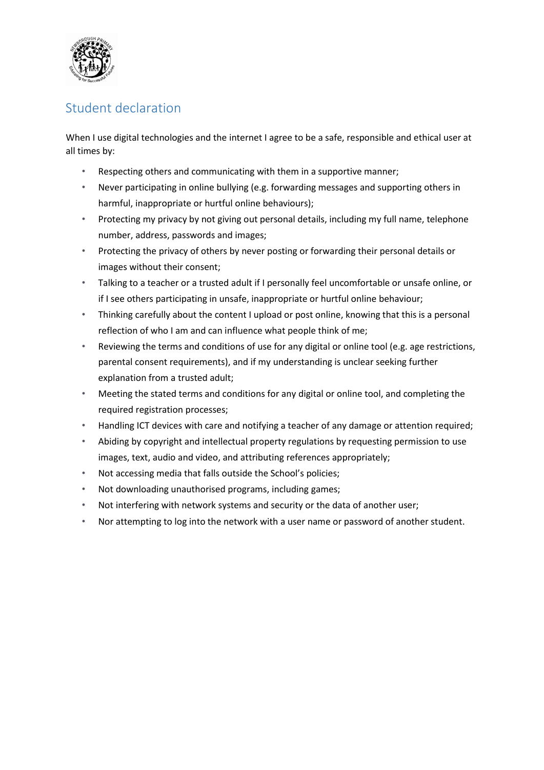

## Student declaration

When I use digital technologies and the internet I agree to be a safe, responsible and ethical user at all times by:

- Respecting others and communicating with them in a supportive manner;
- Never participating in online bullying (e.g. forwarding messages and supporting others in harmful, inappropriate or hurtful online behaviours);
- Protecting my privacy by not giving out personal details, including my full name, telephone number, address, passwords and images;
- Protecting the privacy of others by never posting or forwarding their personal details or images without their consent;
- Talking to a teacher or a trusted adult if I personally feel uncomfortable or unsafe online, or if I see others participating in unsafe, inappropriate or hurtful online behaviour;
- Thinking carefully about the content I upload or post online, knowing that this is a personal reflection of who I am and can influence what people think of me;
- Reviewing the terms and conditions of use for any digital or online tool (e.g. age restrictions, parental consent requirements), and if my understanding is unclear seeking further explanation from a trusted adult;
- Meeting the stated terms and conditions for any digital or online tool, and completing the required registration processes;
- Handling ICT devices with care and notifying a teacher of any damage or attention required;
- Abiding by copyright and intellectual property regulations by requesting permission to use images, text, audio and video, and attributing references appropriately;
- Not accessing media that falls outside the School's policies;
- Not downloading unauthorised programs, including games;
- Not interfering with network systems and security or the data of another user;
- Nor attempting to log into the network with a user name or password of another student.